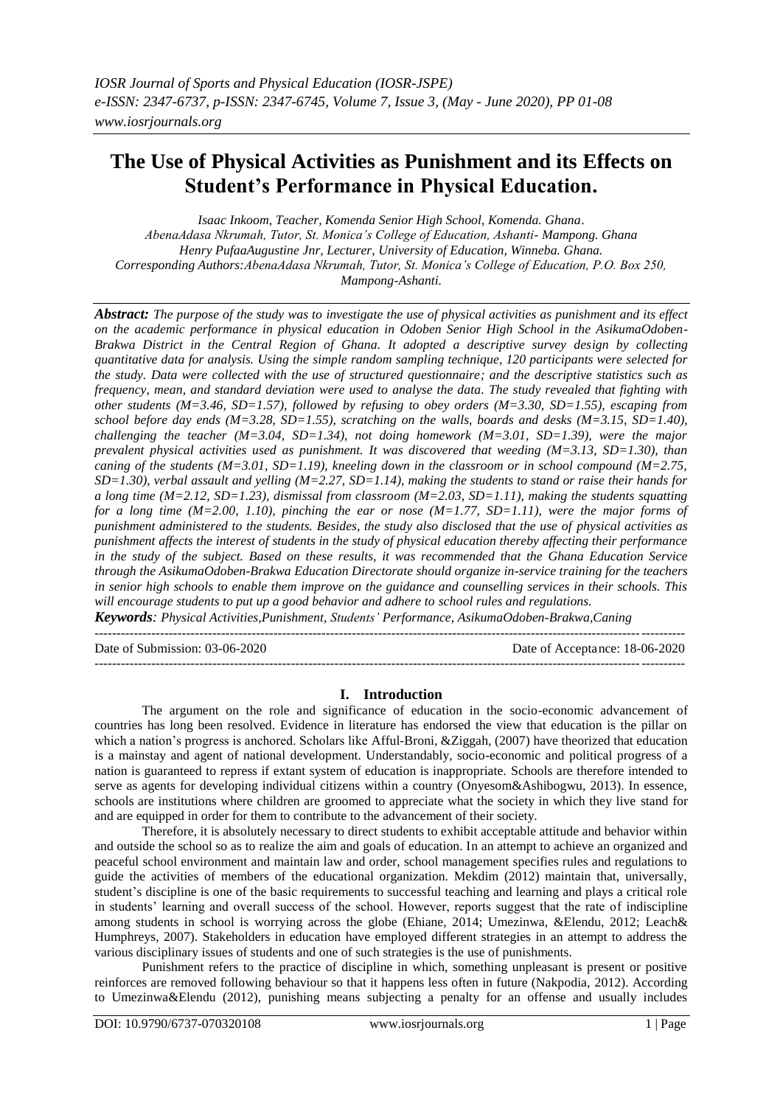# **The Use of Physical Activities as Punishment and its Effects on Student's Performance in Physical Education.**

*Isaac Inkoom, Teacher, Komenda Senior High School, Komenda. Ghana*. *AbenaAdasa Nkrumah, Tutor, St. Monica's College of Education, Ashanti- Mampong. Ghana Henry PufaaAugustine Jnr, Lecturer, University of Education, Winneba. Ghana. Corresponding Authors:AbenaAdasa Nkrumah, Tutor, St. Monica's College of Education, P.O. Box 250, Mampong-Ashanti.*

*Abstract: The purpose of the study was to investigate the use of physical activities as punishment and its effect on the academic performance in physical education in Odoben Senior High School in the AsikumaOdoben-Brakwa District in the Central Region of Ghana. It adopted a descriptive survey design by collecting quantitative data for analysis. Using the simple random sampling technique, 120 participants were selected for the study. Data were collected with the use of structured questionnaire; and the descriptive statistics such as frequency, mean, and standard deviation were used to analyse the data. The study revealed that fighting with other students (M=3.46, SD=1.57), followed by refusing to obey orders (M=3.30, SD=1.55), escaping from school before day ends (M=3.28, SD=1.55), scratching on the walls, boards and desks (M=3.15, SD=1.40), challenging the teacher (M=3.04, SD=1.34), not doing homework (M=3.01, SD=1.39), were the major prevalent physical activities used as punishment. It was discovered that weeding (M=3.13, SD=1.30), than caning of the students (M=3.01, SD=1.19), kneeling down in the classroom or in school compound (M=2.75, SD=1.30), verbal assault and yelling (M=2.27, SD=1.14), making the students to stand or raise their hands for a long time (M=2.12, SD=1.23), dismissal from classroom (M=2.03, SD=1.11), making the students squatting for a long time (M=2.00, 1.10), pinching the ear or nose (M=1.77, SD=1.11), were the major forms of punishment administered to the students. Besides, the study also disclosed that the use of physical activities as punishment affects the interest of students in the study of physical education thereby affecting their performance in the study of the subject. Based on these results, it was recommended that the Ghana Education Service through the AsikumaOdoben-Brakwa Education Directorate should organize in-service training for the teachers in senior high schools to enable them improve on the guidance and counselling services in their schools. This will encourage students to put up a good behavior and adhere to school rules and regulations.* 

*Keywords: Physical Activities,Punishment, Students' Performance, AsikumaOdoben-Brakwa,Caning*  $-1.1$ 

Date of Submission: 03-06-2020 Date of Acceptance: 18-06-2020

# **I. Introduction**

---------------------------------------------------------------------------------------------------------------------------------------

The argument on the role and significance of education in the socio-economic advancement of countries has long been resolved. Evidence in literature has endorsed the view that education is the pillar on which a nation's progress is anchored. Scholars like Afful-Broni, &Ziggah, (2007) have theorized that education is a mainstay and agent of national development. Understandably, socio-economic and political progress of a nation is guaranteed to repress if extant system of education is inappropriate. Schools are therefore intended to serve as agents for developing individual citizens within a country (Onyesom&Ashibogwu, 2013). In essence, schools are institutions where children are groomed to appreciate what the society in which they live stand for and are equipped in order for them to contribute to the advancement of their society.

Therefore, it is absolutely necessary to direct students to exhibit acceptable attitude and behavior within and outside the school so as to realize the aim and goals of education. In an attempt to achieve an organized and peaceful school environment and maintain law and order, school management specifies rules and regulations to guide the activities of members of the educational organization. Mekdim (2012) maintain that, universally, student's discipline is one of the basic requirements to successful teaching and learning and plays a critical role in students' learning and overall success of the school. However, reports suggest that the rate of indiscipline among students in school is worrying across the globe (Ehiane, 2014; Umezinwa, &Elendu, 2012; Leach& Humphreys, 2007). Stakeholders in education have employed different strategies in an attempt to address the various disciplinary issues of students and one of such strategies is the use of punishments.

Punishment refers to the practice of discipline in which, something unpleasant is present or positive reinforces are removed following behaviour so that it happens less often in future (Nakpodia, 2012). According to Umezinwa&Elendu (2012), punishing means subjecting a penalty for an offense and usually includes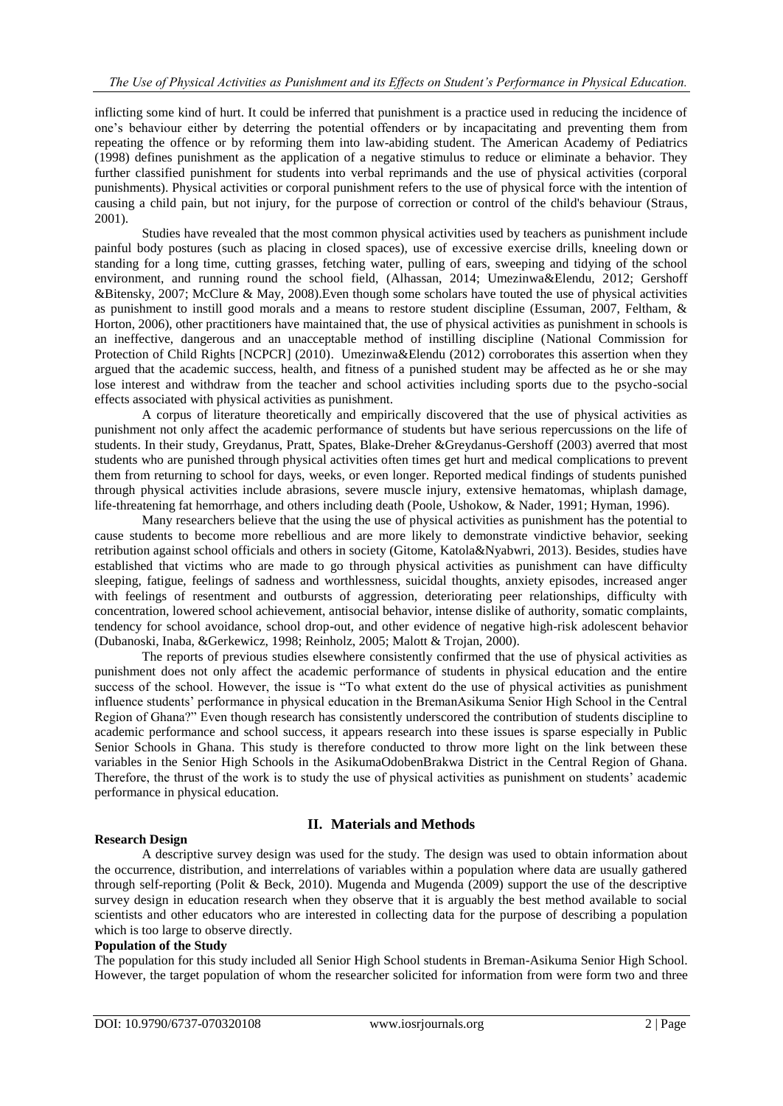inflicting some kind of hurt. It could be inferred that punishment is a practice used in reducing the incidence of one's behaviour either by deterring the potential offenders or by incapacitating and preventing them from repeating the offence or by reforming them into law-abiding student. The American Academy of Pediatrics (1998) defines punishment as the application of a negative stimulus to reduce or eliminate a behavior. They further classified punishment for students into verbal reprimands and the use of physical activities (corporal punishments). Physical activities or corporal punishment refers to the use of physical force with the intention of causing a child pain, but not injury, for the purpose of correction or control of the child's behaviour (Straus, 2001).

Studies have revealed that the most common physical activities used by teachers as punishment include painful body postures (such as placing in closed spaces), use of excessive exercise drills, kneeling down or standing for a long time, cutting grasses, fetching water, pulling of ears, sweeping and tidying of the school environment, and running round the school field, (Alhassan, 2014; Umezinwa&Elendu, 2012; Gershoff &Bitensky, 2007; McClure & May, 2008).Even though some scholars have touted the use of physical activities as punishment to instill good morals and a means to restore student discipline (Essuman, 2007, Feltham, & Horton, 2006), other practitioners have maintained that, the use of physical activities as punishment in schools is an ineffective, dangerous and an unacceptable method of instilling discipline (National Commission for Protection of Child Rights [NCPCR] (2010). Umezinwa&Elendu (2012) corroborates this assertion when they argued that the academic success, health, and fitness of a punished student may be affected as he or she may lose interest and withdraw from the teacher and school activities including sports due to the psycho-social effects associated with physical activities as punishment.

A corpus of literature theoretically and empirically discovered that the use of physical activities as punishment not only affect the academic performance of students but have serious repercussions on the life of students. In their study, Greydanus, Pratt, Spates, Blake-Dreher &Greydanus-Gershoff (2003) averred that most students who are punished through physical activities often times get hurt and medical complications to prevent them from returning to school for days, weeks, or even longer. Reported medical findings of students punished through physical activities include abrasions, severe muscle injury, extensive hematomas, whiplash damage, life-threatening fat hemorrhage, and others including death (Poole, Ushokow, & Nader, 1991; Hyman, 1996).

Many researchers believe that the using the use of physical activities as punishment has the potential to cause students to become more rebellious and are more likely to demonstrate vindictive behavior, seeking retribution against school officials and others in society (Gitome, Katola&Nyabwri, 2013). Besides, studies have established that victims who are made to go through physical activities as punishment can have difficulty sleeping, fatigue, feelings of sadness and worthlessness, suicidal thoughts, anxiety episodes, increased anger with feelings of resentment and outbursts of aggression, deteriorating peer relationships, difficulty with concentration, lowered school achievement, antisocial behavior, intense dislike of authority, somatic complaints, tendency for school avoidance, school drop-out, and other evidence of negative high-risk adolescent behavior (Dubanoski, Inaba, &Gerkewicz, 1998; Reinholz, 2005; Malott & Trojan, 2000).

The reports of previous studies elsewhere consistently confirmed that the use of physical activities as punishment does not only affect the academic performance of students in physical education and the entire success of the school. However, the issue is "To what extent do the use of physical activities as punishment influence students' performance in physical education in the BremanAsikuma Senior High School in the Central Region of Ghana?" Even though research has consistently underscored the contribution of students discipline to academic performance and school success, it appears research into these issues is sparse especially in Public Senior Schools in Ghana. This study is therefore conducted to throw more light on the link between these variables in the Senior High Schools in the AsikumaOdobenBrakwa District in the Central Region of Ghana. Therefore, the thrust of the work is to study the use of physical activities as punishment on students' academic performance in physical education.

## **Research Design**

# **II. Materials and Methods**

A descriptive survey design was used for the study. The design was used to obtain information about the occurrence, distribution, and interrelations of variables within a population where data are usually gathered through self-reporting (Polit & Beck, 2010). Mugenda and Mugenda (2009) support the use of the descriptive survey design in education research when they observe that it is arguably the best method available to social scientists and other educators who are interested in collecting data for the purpose of describing a population which is too large to observe directly.

## **Population of the Study**

The population for this study included all Senior High School students in Breman-Asikuma Senior High School. However, the target population of whom the researcher solicited for information from were form two and three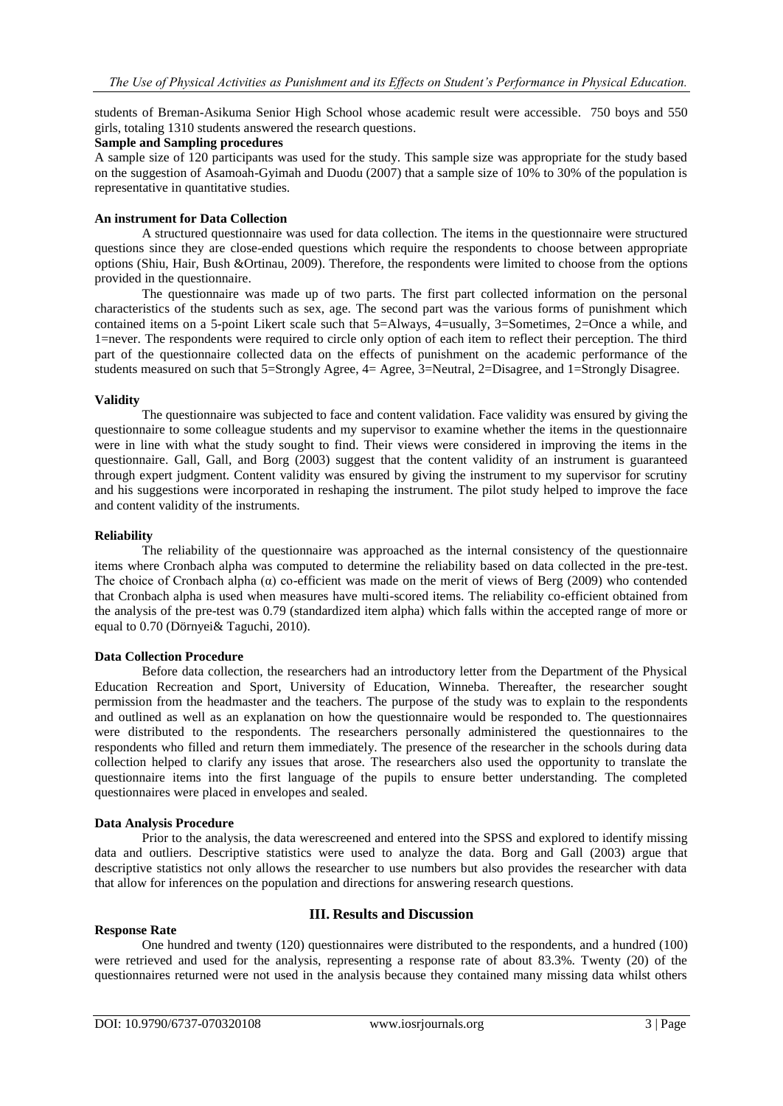students of Breman-Asikuma Senior High School whose academic result were accessible. 750 boys and 550 girls, totaling 1310 students answered the research questions.

# **Sample and Sampling procedures**

A sample size of 120 participants was used for the study. This sample size was appropriate for the study based on the suggestion of Asamoah-Gyimah and Duodu (2007) that a sample size of 10% to 30% of the population is representative in quantitative studies.

## **An instrument for Data Collection**

A structured questionnaire was used for data collection. The items in the questionnaire were structured questions since they are close-ended questions which require the respondents to choose between appropriate options (Shiu, Hair, Bush &Ortinau, 2009). Therefore, the respondents were limited to choose from the options provided in the questionnaire.

The questionnaire was made up of two parts. The first part collected information on the personal characteristics of the students such as sex, age. The second part was the various forms of punishment which contained items on a 5-point Likert scale such that 5=Always, 4=usually, 3=Sometimes, 2=Once a while, and 1=never. The respondents were required to circle only option of each item to reflect their perception. The third part of the questionnaire collected data on the effects of punishment on the academic performance of the students measured on such that 5=Strongly Agree, 4= Agree, 3=Neutral, 2=Disagree, and 1=Strongly Disagree.

#### **Validity**

The questionnaire was subjected to face and content validation. Face validity was ensured by giving the questionnaire to some colleague students and my supervisor to examine whether the items in the questionnaire were in line with what the study sought to find. Their views were considered in improving the items in the questionnaire. Gall, Gall, and Borg (2003) suggest that the content validity of an instrument is guaranteed through expert judgment. Content validity was ensured by giving the instrument to my supervisor for scrutiny and his suggestions were incorporated in reshaping the instrument. The pilot study helped to improve the face and content validity of the instruments.

#### **Reliability**

The reliability of the questionnaire was approached as the internal consistency of the questionnaire items where Cronbach alpha was computed to determine the reliability based on data collected in the pre-test. The choice of Cronbach alpha (α) co-efficient was made on the merit of views of Berg (2009) who contended that Cronbach alpha is used when measures have multi-scored items. The reliability co-efficient obtained from the analysis of the pre-test was 0.79 (standardized item alpha) which falls within the accepted range of more or equal to 0.70 (Dörnyei& Taguchi, 2010).

## **Data Collection Procedure**

Before data collection, the researchers had an introductory letter from the Department of the Physical Education Recreation and Sport, University of Education, Winneba. Thereafter, the researcher sought permission from the headmaster and the teachers. The purpose of the study was to explain to the respondents and outlined as well as an explanation on how the questionnaire would be responded to. The questionnaires were distributed to the respondents. The researchers personally administered the questionnaires to the respondents who filled and return them immediately. The presence of the researcher in the schools during data collection helped to clarify any issues that arose. The researchers also used the opportunity to translate the questionnaire items into the first language of the pupils to ensure better understanding. The completed questionnaires were placed in envelopes and sealed.

#### **Data Analysis Procedure**

Prior to the analysis, the data werescreened and entered into the SPSS and explored to identify missing data and outliers. Descriptive statistics were used to analyze the data. Borg and Gall (2003) argue that descriptive statistics not only allows the researcher to use numbers but also provides the researcher with data that allow for inferences on the population and directions for answering research questions.

#### **Response Rate**

# **III. Results and Discussion**

One hundred and twenty (120) questionnaires were distributed to the respondents, and a hundred (100) were retrieved and used for the analysis, representing a response rate of about 83.3%. Twenty (20) of the questionnaires returned were not used in the analysis because they contained many missing data whilst others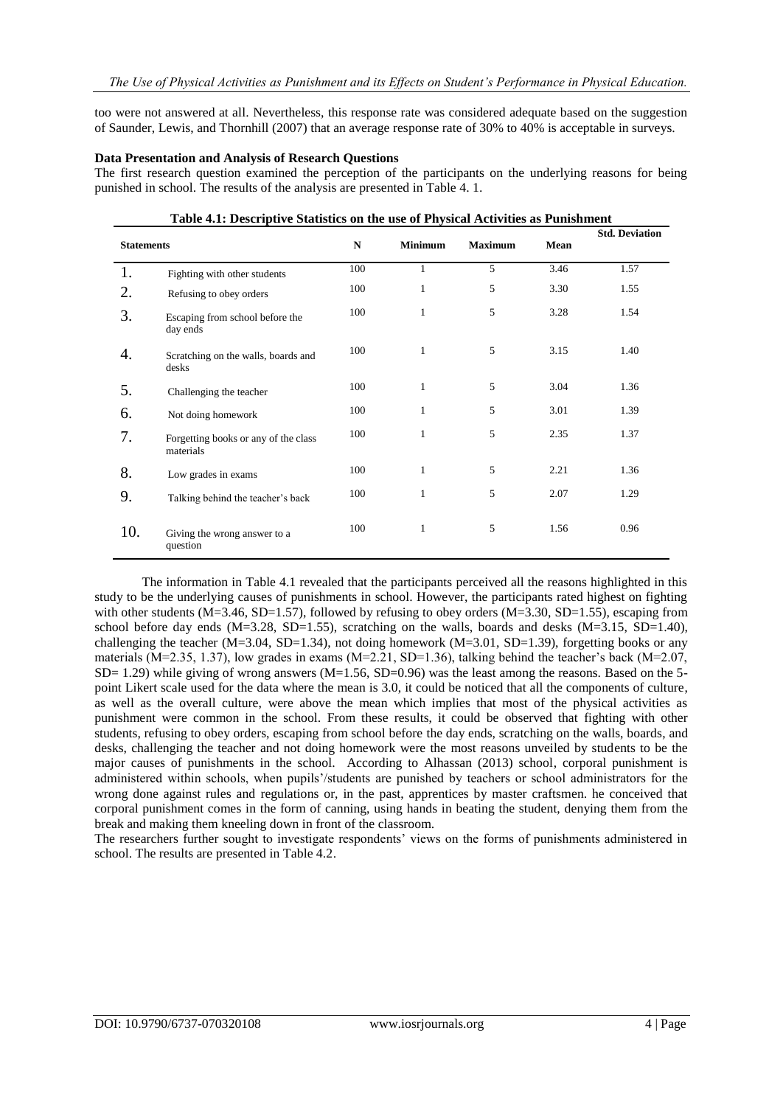too were not answered at all. Nevertheless, this response rate was considered adequate based on the suggestion of Saunder, Lewis, and Thornhill (2007) that an average response rate of 30% to 40% is acceptable in surveys.

#### **Data Presentation and Analysis of Research Questions**

The first research question examined the perception of the participants on the underlying reasons for being punished in school. The results of the analysis are presented in Table 4. 1.

**Table 4.1: Descriptive Statistics on the use of Physical Activities as Punishment**

|                   | Table 4.1: Descriptive Statistics on the use of Physical Activities as Punishment |     |                |                |      |                       |
|-------------------|-----------------------------------------------------------------------------------|-----|----------------|----------------|------|-----------------------|
| <b>Statements</b> |                                                                                   | N   | <b>Minimum</b> | <b>Maximum</b> | Mean | <b>Std. Deviation</b> |
| 1.                | Fighting with other students                                                      | 100 | 1              | 5              | 3.46 | 1.57                  |
| 2.                | Refusing to obey orders                                                           | 100 | 1              | 5              | 3.30 | 1.55                  |
| 3.                | Escaping from school before the<br>day ends                                       | 100 | 1              | 5              | 3.28 | 1.54                  |
| 4.                | Scratching on the walls, boards and<br>desks                                      | 100 | 1              | 5              | 3.15 | 1.40                  |
| 5.                | Challenging the teacher                                                           | 100 | $\mathbf{1}$   | 5              | 3.04 | 1.36                  |
| 6.                | Not doing homework                                                                | 100 | 1              | 5              | 3.01 | 1.39                  |
| 7.                | Forgetting books or any of the class<br>materials                                 | 100 | $\mathbf{1}$   | 5              | 2.35 | 1.37                  |
| 8.                | Low grades in exams                                                               | 100 | 1              | 5              | 2.21 | 1.36                  |
| 9.                | Talking behind the teacher's back                                                 | 100 | 1              | 5              | 2.07 | 1.29                  |
| 10.               | Giving the wrong answer to a<br>question                                          | 100 | $\mathbf{1}$   | 5              | 1.56 | 0.96                  |

The information in Table 4.1 revealed that the participants perceived all the reasons highlighted in this study to be the underlying causes of punishments in school. However, the participants rated highest on fighting with other students  $(M=3.46, SD=1.57)$ , followed by refusing to obey orders  $(M=3.30, SD=1.55)$ , escaping from school before day ends  $(M=3.28, SD=1.55)$ , scratching on the walls, boards and desks  $(M=3.15, SD=1.40)$ , challenging the teacher (M=3.04, SD=1.34), not doing homework (M=3.01, SD=1.39), forgetting books or any materials ( $M=2.35$ , 1.37), low grades in exams ( $M=2.21$ ,  $SD=1.36$ ), talking behind the teacher's back ( $M=2.07$ ,  $SD= 1.29$ ) while giving of wrong answers (M=1.56, SD=0.96) was the least among the reasons. Based on the 5point Likert scale used for the data where the mean is 3.0, it could be noticed that all the components of culture, as well as the overall culture, were above the mean which implies that most of the physical activities as punishment were common in the school. From these results, it could be observed that fighting with other students, refusing to obey orders, escaping from school before the day ends, scratching on the walls, boards, and desks, challenging the teacher and not doing homework were the most reasons unveiled by students to be the major causes of punishments in the school. According to Alhassan (2013) school, corporal punishment is administered within schools, when pupils'/students are punished by teachers or school administrators for the wrong done against rules and regulations or, in the past, apprentices by master craftsmen. he conceived that corporal punishment comes in the form of canning, using hands in beating the student, denying them from the break and making them kneeling down in front of the classroom.

The researchers further sought to investigate respondents' views on the forms of punishments administered in school. The results are presented in Table 4.2.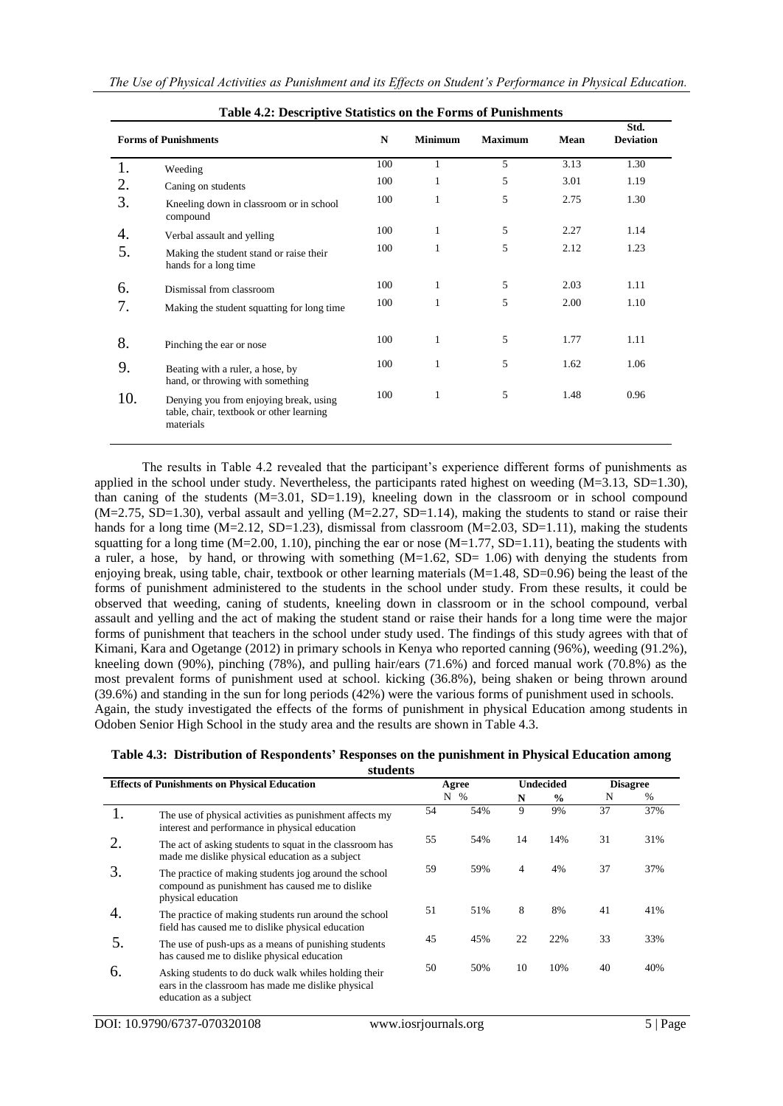| Table 4.2. Descriptive Statistics on the Forms of Funnshinents |                                                                                                 |     |                |                |      |                          |  |
|----------------------------------------------------------------|-------------------------------------------------------------------------------------------------|-----|----------------|----------------|------|--------------------------|--|
| <b>Forms of Punishments</b>                                    |                                                                                                 |     | <b>Minimum</b> | <b>Maximum</b> | Mean | Std.<br><b>Deviation</b> |  |
| 1.                                                             | Weeding                                                                                         | 100 | 1              | 5              | 3.13 | 1.30                     |  |
| 2.                                                             | Caning on students                                                                              | 100 | 1              | 5              | 3.01 | 1.19                     |  |
| 3.                                                             | Kneeling down in classroom or in school<br>compound                                             | 100 | 1              | 5              | 2.75 | 1.30                     |  |
| 4.                                                             | Verbal assault and yelling                                                                      | 100 | 1              | 5              | 2.27 | 1.14                     |  |
| 5.                                                             | Making the student stand or raise their<br>hands for a long time                                | 100 | 1              | 5              | 2.12 | 1.23                     |  |
| 6.                                                             | Dismissal from classroom                                                                        | 100 | 1              | 5              | 2.03 | 1.11                     |  |
| 7.                                                             | Making the student squatting for long time                                                      | 100 | 1              | 5              | 2.00 | 1.10                     |  |
| 8.                                                             | Pinching the ear or nose                                                                        | 100 | 1              | 5              | 1.77 | 1.11                     |  |
| 9.                                                             | Beating with a ruler, a hose, by<br>hand, or throwing with something                            | 100 | 1              | 5              | 1.62 | 1.06                     |  |
| 10.                                                            | Denying you from enjoying break, using<br>table, chair, textbook or other learning<br>materials | 100 | 1              | 5              | 1.48 | 0.96                     |  |

|  |  |  |  |  |  |  | Table 4.2: Descriptive Statistics on the Forms of Punishments |
|--|--|--|--|--|--|--|---------------------------------------------------------------|
|--|--|--|--|--|--|--|---------------------------------------------------------------|

The results in Table 4.2 revealed that the participant's experience different forms of punishments as applied in the school under study. Nevertheless, the participants rated highest on weeding (M=3.13, SD=1.30), than caning of the students  $(M=3.01, SD=1.19)$ , kneeling down in the classroom or in school compound  $(M=2.75, SD=1.30)$ , verbal assault and yelling  $(M=2.27, SD=1.14)$ , making the students to stand or raise their hands for a long time  $(M=2.12, SD=1.23)$ , dismissal from classroom  $(M=2.03, SD=1.11)$ , making the students squatting for a long time  $(M=2.00, 1.10)$ , pinching the ear or nose  $(M=1.77, SD=1.11)$ , beating the students with a ruler, a hose, by hand, or throwing with something  $(M=1.62, SD= 1.06)$  with denying the students from enjoying break, using table, chair, textbook or other learning materials  $(M=1.48, SD=0.96)$  being the least of the forms of punishment administered to the students in the school under study. From these results, it could be observed that weeding, caning of students, kneeling down in classroom or in the school compound, verbal assault and yelling and the act of making the student stand or raise their hands for a long time were the major forms of punishment that teachers in the school under study used. The findings of this study agrees with that of Kimani, Kara and Ogetange (2012) in primary schools in Kenya who reported canning (96%), weeding (91.2%), kneeling down (90%), pinching (78%), and pulling hair/ears (71.6%) and forced manual work (70.8%) as the most prevalent forms of punishment used at school. kicking (36.8%), being shaken or being thrown around (39.6%) and standing in the sun for long periods (42%) were the various forms of punishment used in schools. Again, the study investigated the effects of the forms of punishment in physical Education among students in Odoben Senior High School in the study area and the results are shown in Table 4.3.

|  | Table 4.3: Distribution of Respondents' Responses on the punishment in Physical Education among |  |
|--|-------------------------------------------------------------------------------------------------|--|
|  | students                                                                                        |  |

| <b>Effects of Punishments on Physical Education</b> |                                                                                                                                      | Agree |      | <b>Undecided</b> |               | <b>Disagree</b> |     |
|-----------------------------------------------------|--------------------------------------------------------------------------------------------------------------------------------------|-------|------|------------------|---------------|-----------------|-----|
|                                                     |                                                                                                                                      | N     | $\%$ | N                | $\frac{0}{0}$ | N               | %   |
|                                                     | The use of physical activities as punishment affects my<br>interest and performance in physical education                            | 54    | 54%  | 9                | 9%            | 37              | 37% |
| 2.                                                  | The act of asking students to squat in the classroom has<br>made me dislike physical education as a subject                          | 55    | 54%  | 14               | 14%           | 31              | 31% |
| 3.                                                  | The practice of making students jog around the school<br>compound as punishment has caused me to dislike<br>physical education       | 59    | 59%  | $\overline{4}$   | 4%            | 37              | 37% |
| 4.                                                  | The practice of making students run around the school<br>field has caused me to dislike physical education                           | 51    | 51%  | 8                | 8%            | 41              | 41% |
| 5.                                                  | The use of push-ups as a means of punishing students<br>has caused me to dislike physical education                                  | 45    | 45%  | 22               | 22%           | 33              | 33% |
| 6.                                                  | Asking students to do duck walk whiles holding their<br>ears in the classroom has made me dislike physical<br>education as a subject | 50    | 50%  | 10               | 10%           | 40              | 40% |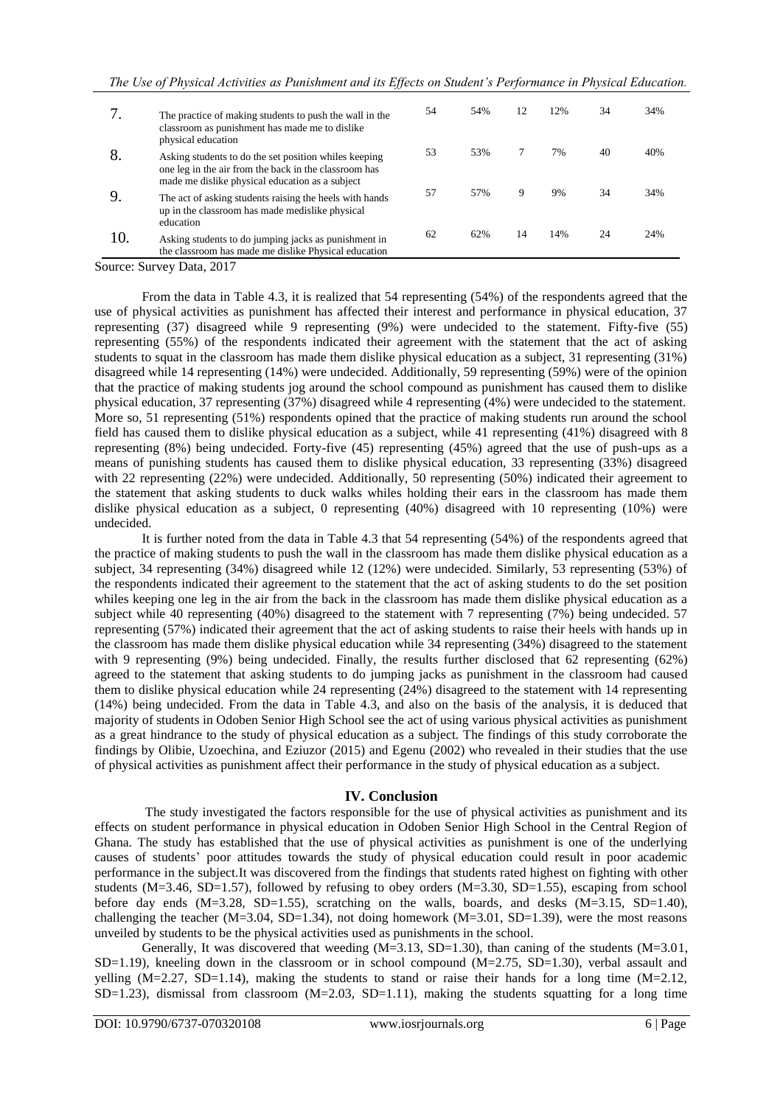|     | The practice of making students to push the wall in the<br>classroom as punishment has made me to dislike                                                                               | 54 | 54% | 12 | 12% | 34 | 34% |
|-----|-----------------------------------------------------------------------------------------------------------------------------------------------------------------------------------------|----|-----|----|-----|----|-----|
| 8.  | physical education<br>Asking students to do the set position whiles keeping<br>one leg in the air from the back in the classroom has<br>made me dislike physical education as a subject | 53 | 53% |    | 7%  | 40 | 40% |
|     | The act of asking students raising the heels with hands<br>up in the classroom has made medislike physical<br>education                                                                 | 57 | 57% | 9  | 9%  | 34 | 34% |
| 10. | Asking students to do jumping jacks as punishment in<br>the classroom has made me dislike Physical education                                                                            | 62 | 62% | 14 | 14% | 24 | 24% |

Source: Survey Data, 2017

From the data in Table 4.3, it is realized that 54 representing (54%) of the respondents agreed that the use of physical activities as punishment has affected their interest and performance in physical education, 37 representing (37) disagreed while 9 representing (9%) were undecided to the statement. Fifty-five (55) representing (55%) of the respondents indicated their agreement with the statement that the act of asking students to squat in the classroom has made them dislike physical education as a subject, 31 representing (31%) disagreed while 14 representing (14%) were undecided. Additionally, 59 representing (59%) were of the opinion that the practice of making students jog around the school compound as punishment has caused them to dislike physical education, 37 representing (37%) disagreed while 4 representing (4%) were undecided to the statement. More so, 51 representing (51%) respondents opined that the practice of making students run around the school field has caused them to dislike physical education as a subject, while 41 representing (41%) disagreed with 8 representing (8%) being undecided. Forty-five (45) representing (45%) agreed that the use of push-ups as a means of punishing students has caused them to dislike physical education, 33 representing (33%) disagreed with 22 representing (22%) were undecided. Additionally, 50 representing (50%) indicated their agreement to the statement that asking students to duck walks whiles holding their ears in the classroom has made them dislike physical education as a subject, 0 representing (40%) disagreed with 10 representing (10%) were undecided.

It is further noted from the data in Table 4.3 that 54 representing (54%) of the respondents agreed that the practice of making students to push the wall in the classroom has made them dislike physical education as a subject, 34 representing (34%) disagreed while 12 (12%) were undecided. Similarly, 53 representing (53%) of the respondents indicated their agreement to the statement that the act of asking students to do the set position whiles keeping one leg in the air from the back in the classroom has made them dislike physical education as a subject while 40 representing (40%) disagreed to the statement with 7 representing (7%) being undecided. 57 representing (57%) indicated their agreement that the act of asking students to raise their heels with hands up in the classroom has made them dislike physical education while 34 representing (34%) disagreed to the statement with 9 representing (9%) being undecided. Finally, the results further disclosed that 62 representing (62%) agreed to the statement that asking students to do jumping jacks as punishment in the classroom had caused them to dislike physical education while 24 representing (24%) disagreed to the statement with 14 representing (14%) being undecided. From the data in Table 4.3, and also on the basis of the analysis, it is deduced that majority of students in Odoben Senior High School see the act of using various physical activities as punishment as a great hindrance to the study of physical education as a subject. The findings of this study corroborate the findings by Olibie, Uzoechina, and Eziuzor (2015) and Egenu (2002) who revealed in their studies that the use of physical activities as punishment affect their performance in the study of physical education as a subject.

## **IV. Conclusion**

The study investigated the factors responsible for the use of physical activities as punishment and its effects on student performance in physical education in Odoben Senior High School in the Central Region of Ghana. The study has established that the use of physical activities as punishment is one of the underlying causes of students' poor attitudes towards the study of physical education could result in poor academic performance in the subject.It was discovered from the findings that students rated highest on fighting with other students (M=3.46, SD=1.57), followed by refusing to obey orders (M=3.30, SD=1.55), escaping from school before day ends  $(M=3.28, SD=1.55)$ , scratching on the walls, boards, and desks  $(M=3.15, SD=1.40)$ , challenging the teacher (M=3.04, SD=1.34), not doing homework (M=3.01, SD=1.39), were the most reasons unveiled by students to be the physical activities used as punishments in the school.

Generally, It was discovered that weeding  $(M=3.13, SD=1.30)$ , than caning of the students  $(M=3.01,$  $SD=1.19$ ), kneeling down in the classroom or in school compound  $(M=2.75, SD=1.30)$ , verbal assault and yelling  $(M=2.27, SD=1.14)$ , making the students to stand or raise their hands for a long time  $(M=2.12,$  $SD=1.23$ ), dismissal from classroom  $(M=2.03, SD=1.11)$ , making the students squatting for a long time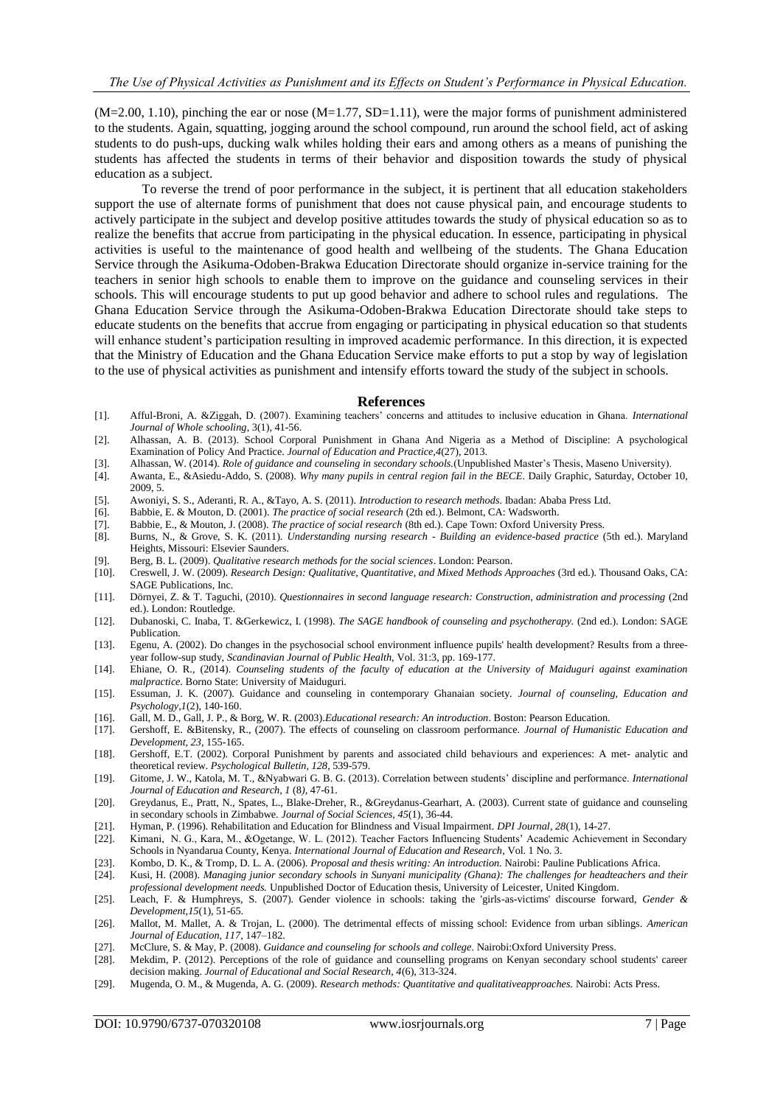$(M=2.00, 1.10)$ , pinching the ear or nose  $(M=1.77, SD=1.11)$ , were the major forms of punishment administered to the students. Again, squatting, jogging around the school compound, run around the school field, act of asking students to do push-ups, ducking walk whiles holding their ears and among others as a means of punishing the students has affected the students in terms of their behavior and disposition towards the study of physical education as a subject.

To reverse the trend of poor performance in the subject, it is pertinent that all education stakeholders support the use of alternate forms of punishment that does not cause physical pain, and encourage students to actively participate in the subject and develop positive attitudes towards the study of physical education so as to realize the benefits that accrue from participating in the physical education. In essence, participating in physical activities is useful to the maintenance of good health and wellbeing of the students. The Ghana Education Service through the Asikuma-Odoben-Brakwa Education Directorate should organize in-service training for the teachers in senior high schools to enable them to improve on the guidance and counseling services in their schools. This will encourage students to put up good behavior and adhere to school rules and regulations. The Ghana Education Service through the Asikuma-Odoben-Brakwa Education Directorate should take steps to educate students on the benefits that accrue from engaging or participating in physical education so that students will enhance student's participation resulting in improved academic performance. In this direction, it is expected that the Ministry of Education and the Ghana Education Service make efforts to put a stop by way of legislation to the use of physical activities as punishment and intensify efforts toward the study of the subject in schools.

#### **References**

- [1]. Afful-Broni, A. &Ziggah, D. (2007). Examining teachers' concerns and attitudes to inclusive education in Ghana. *International Journal of Whole schooling*, 3(1), 41-56.
- [2]. Alhassan, A. B. (2013). School Corporal Punishment in Ghana And Nigeria as a Method of Discipline: A psychological Examination of Policy And Practice. *Journal of Education and Practice,4*(27), 2013.
- [3]. Alhassan, W. (2014). *Role of guidance and counseling in secondary schools.*(Unpublished Master's Thesis, Maseno University).
- [4]. Awanta, E., &Asiedu-Addo, S. (2008). *Why many pupils in central region fail in the BECE*. Daily Graphic, Saturday, October 10, 2009, 5.
- [5]. Awoniyi, S. S., Aderanti, R. A., &Tayo, A. S. (2011). *Introduction to research methods*. Ibadan: Ababa Press Ltd.
- [6]. Babbie, E. & Mouton, D. (2001). *The practice of social research* (2th ed.). Belmont, CA: Wadsworth.
- [7]. Babbie, E., & Mouton, J. (2008). *The practice of social research* (8th ed.). Cape Town: Oxford University Press.
- [8]. Burns, N., & Grove, S. K. (2011). *Understanding nursing research - Building an evidence-based practice* (5th ed.). Maryland Heights, Missouri: Elsevier Saunders.
- [9]. Berg, B. L. (2009). *Qualitative research methods for the social sciences*. London: Pearson.
- [10]. Creswell, J. W. (2009). *Research Design: Qualitative, Quantitative, and Mixed Methods Approaches* (3rd ed.). Thousand Oaks, CA: SAGE Publications, Inc.
- [11]. Dörnyei, Z. & T. Taguchi, (2010). *Questionnaires in second language research: Construction, administration and processing* (2nd ed.). London: Routledge.
- [12]. Dubanoski, C. Inaba, T. &Gerkewicz, I. (1998). *The SAGE handbook of counseling and psychotherapy.* (2nd ed.). London: SAGE Publication.
- [13]. Egenu, A. (2002). Do changes in the psychosocial school environment influence pupils' health development? Results from a threeyear follow-sup study, *Scandinavian Journal of Public Health,* Vol. 31:3, pp. 169-177.
- [14]. Ehiane, O. R., (2014). *Counseling students of the faculty of education at the University of Maiduguri against examination malpractice.* Borno State: University of Maiduguri.
- [15]. Essuman, J. K. (2007). Guidance and counseling in contemporary Ghanaian society. *Journal of counseling, Education and Psychology,1*(2), 140-160.
- [16]. Gall, M. D., Gall, J. P., & Borg, W. R. (2003).*Educational research: An introduction*. Boston: Pearson Education.
- [17]. Gershoff, E. &Bitensky, R., (2007). The effects of counseling on classroom performance. *Journal of Humanistic Education and Development, 23,* 155-165.
- [18]. Gershoff, E.T. (2002). Corporal Punishment by parents and associated child behaviours and experiences: A met- analytic and theoretical review. *Psychological Bulletin, 128*, 539-579.
- [19]. Gitome, J. W., Katola, M. T., &Nyabwari G. B. G. (2013). Correlation between students' discipline and performance. *International Journal of Education and Research, 1* (8*),* 47-61.
- [20]. Greydanus, E., Pratt, N., Spates, L., Blake-Dreher, R., &Greydanus-Gearhart, A. (2003). Current state of guidance and counseling in secondary schools in Zimbabwe. *Journal of Social Sciences, 45*(1), 36-44.
- [21]. Hyman, P. (1996). Rehabilitation and Education for Blindness and Visual Impairment. *DPI Journal, 28*(1), 14-27.
- [22]. Kimani, N. G., Kara, M., &Ogetange, W. L. (2012). Teacher Factors Influencing Students' Academic Achievement in Secondary Schools in Nyandarua County, Kenya. *International Journal of Education and Research*, Vol. 1 No. 3.
- [23]. Kombo, D. K., & Tromp, D. L. A. (2006). *Proposal and thesis writing: An introduction.* Nairobi: Pauline Publications Africa.
- [24]. Kusi, H. (2008). *Managing junior secondary schools in Sunyani municipality (Ghana): The challenges for headteachers and their professional development needs.* Unpublished Doctor of Education thesis, University of Leicester, United Kingdom.
- [25]. Leach, F. & Humphreys, S. (2007). Gender violence in schools: taking the 'girls-as-victims' discourse forward, *Gender & Development,15*(1), 51-65.
- [26]. Mallot, M. Mallet, A. & Trojan, L. (2000). The detrimental effects of missing school: Evidence from urban siblings. *American Journal of Education, 117,* 147–182.
- [27]. McClure, S. & May, P. (2008). *Guidance and counseling for schools and college*. Nairobi:Oxford University Press.
- [28]. Mekdim, P. (2012). Perceptions of the role of guidance and counselling programs on Kenyan secondary school students' career decision making. *Journal of Educational and Social Research, 4*(6), 313-324.
- [29]. Mugenda, O. M., & Mugenda, A. G. (2009). *Research methods: Quantitative and qualitativeapproaches.* Nairobi: Acts Press.